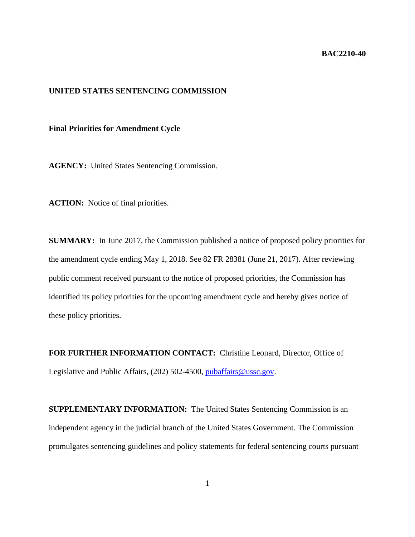## **BAC2210-40**

## **UNITED STATES SENTENCING COMMISSION**

## **Final Priorities for Amendment Cycle**

**AGENCY:** United States Sentencing Commission.

**ACTION:** Notice of final priorities.

**SUMMARY:** In June 2017, the Commission published a notice of proposed policy priorities for the amendment cycle ending May 1, 2018. See 82 FR 28381 (June 21, 2017). After reviewing public comment received pursuant to the notice of proposed priorities, the Commission has identified its policy priorities for the upcoming amendment cycle and hereby gives notice of these policy priorities.

**FOR FURTHER INFORMATION CONTACT:** Christine Leonard, Director, Office of Legislative and Public Affairs, (202) 502-4500, [pubaffairs@ussc.gov.](mailto:pubaffairs@ussc.gov)

**SUPPLEMENTARY INFORMATION:** The United States Sentencing Commission is an independent agency in the judicial branch of the United States Government. The Commission promulgates sentencing guidelines and policy statements for federal sentencing courts pursuant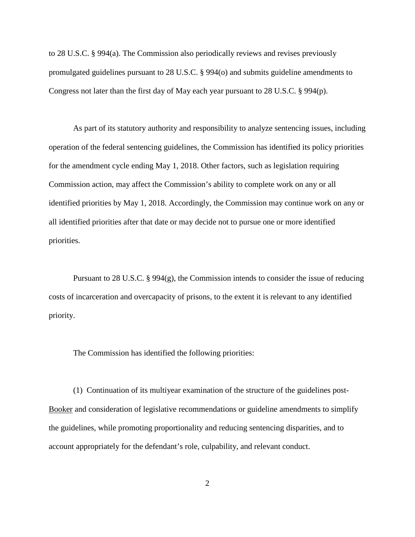to 28 U.S.C. § 994(a). The Commission also periodically reviews and revises previously promulgated guidelines pursuant to 28 U.S.C. § 994(o) and submits guideline amendments to Congress not later than the first day of May each year pursuant to 28 U.S.C. § 994(p).

As part of its statutory authority and responsibility to analyze sentencing issues, including operation of the federal sentencing guidelines, the Commission has identified its policy priorities for the amendment cycle ending May 1, 2018. Other factors, such as legislation requiring Commission action, may affect the Commission's ability to complete work on any or all identified priorities by May 1, 2018. Accordingly, the Commission may continue work on any or all identified priorities after that date or may decide not to pursue one or more identified priorities.

Pursuant to 28 U.S.C. § 994(g), the Commission intends to consider the issue of reducing costs of incarceration and overcapacity of prisons, to the extent it is relevant to any identified priority.

The Commission has identified the following priorities:

(1) Continuation of its multiyear examination of the structure of the guidelines post-Booker and consideration of legislative recommendations or guideline amendments to simplify the guidelines, while promoting proportionality and reducing sentencing disparities, and to account appropriately for the defendant's role, culpability, and relevant conduct.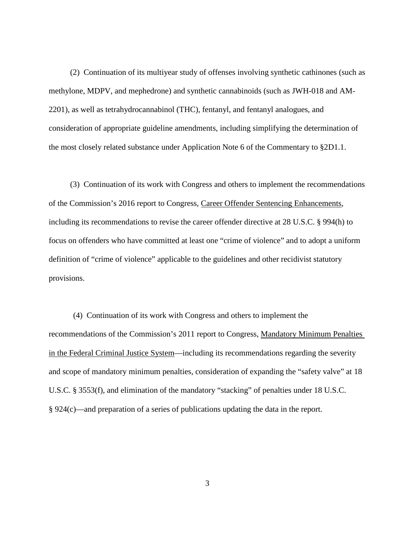(2) Continuation of its multiyear study of offenses involving synthetic cathinones (such as methylone, MDPV, and mephedrone) and synthetic cannabinoids (such as JWH-018 and AM-2201), as well as tetrahydrocannabinol (THC), fentanyl, and fentanyl analogues, and consideration of appropriate guideline amendments, including simplifying the determination of the most closely related substance under Application Note 6 of the Commentary to §2D1.1.

(3) Continuation of its work with Congress and others to implement the recommendations of the Commission's 2016 report to Congress, Career Offender Sentencing Enhancements, including its recommendations to revise the career offender directive at 28 U.S.C. § 994(h) to focus on offenders who have committed at least one "crime of violence" and to adopt a uniform definition of "crime of violence" applicable to the guidelines and other recidivist statutory provisions.

(4) Continuation of its work with Congress and others to implement the recommendations of the Commission's 2011 report to Congress, Mandatory Minimum Penalties in the Federal Criminal Justice System—including its recommendations regarding the severity and scope of mandatory minimum penalties, consideration of expanding the "safety valve" at 18 U.S.C. § 3553(f), and elimination of the mandatory "stacking" of penalties under 18 U.S.C. § 924(c)—and preparation of a series of publications updating the data in the report.

3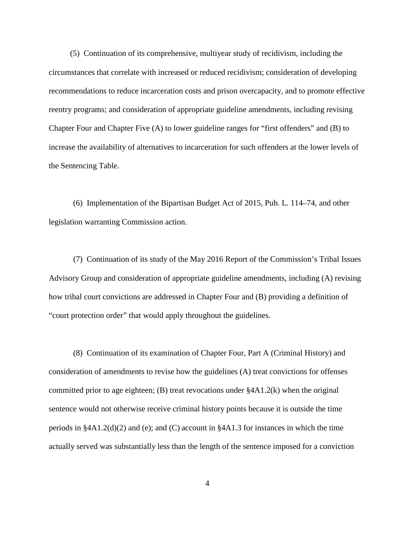(5) Continuation of its comprehensive, multiyear study of recidivism, including the circumstances that correlate with increased or reduced recidivism; consideration of developing recommendations to reduce incarceration costs and prison overcapacity, and to promote effective reentry programs; and consideration of appropriate guideline amendments, including revising Chapter Four and Chapter Five (A) to lower guideline ranges for "first offenders" and (B) to increase the availability of alternatives to incarceration for such offenders at the lower levels of the Sentencing Table.

(6) Implementation of the Bipartisan Budget Act of 2015, Pub. L. 114–74, and other legislation warranting Commission action.

(7) Continuation of its study of the May 2016 Report of the Commission's Tribal Issues Advisory Group and consideration of appropriate guideline amendments, including (A) revising how tribal court convictions are addressed in Chapter Four and (B) providing a definition of "court protection order" that would apply throughout the guidelines.

(8) Continuation of its examination of Chapter Four, Part A (Criminal History) and consideration of amendments to revise how the guidelines (A) treat convictions for offenses committed prior to age eighteen; (B) treat revocations under §4A1.2(k) when the original sentence would not otherwise receive criminal history points because it is outside the time periods in  $§4A1.2(d)(2)$  and (e); and (C) account in  $§4A1.3$  for instances in which the time actually served was substantially less than the length of the sentence imposed for a conviction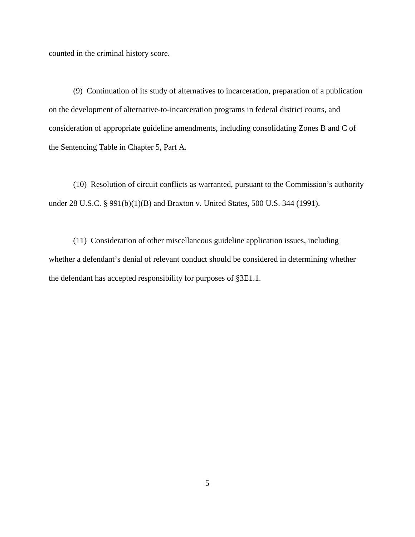counted in the criminal history score.

(9) Continuation of its study of alternatives to incarceration, preparation of a publication on the development of alternative-to-incarceration programs in federal district courts, and consideration of appropriate guideline amendments, including consolidating Zones B and C of the Sentencing Table in Chapter 5, Part A.

(10) Resolution of circuit conflicts as warranted, pursuant to the Commission's authority under 28 U.S.C. § 991(b)(1)(B) and <u>Braxton v. United States</u>, 500 U.S. 344 (1991).

(11) Consideration of other miscellaneous guideline application issues, including whether a defendant's denial of relevant conduct should be considered in determining whether the defendant has accepted responsibility for purposes of §3E1.1.